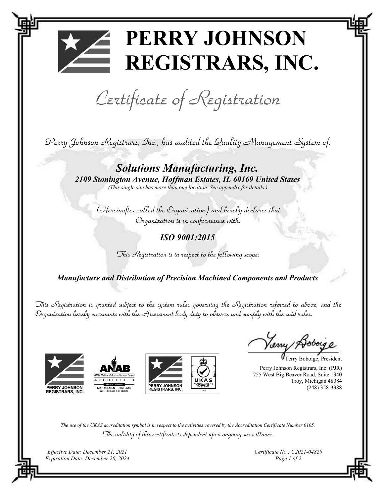## PERRY JOHNSON REGISTRARS, INC.

Certificate of Registration

Perry Johnson Registrars, Inc., has audited the Quality Management System of:

Solutions Manufacturing, Inc. 2109 Stonington Avenue, Hoffman Estates, IL 60169 United States (This single site has more than one location. See appendix for details.)

(Hereinafter called the Organization) and hereby declares that Organization is in conformance with:

ISO 9001:2015

This Registration is in respect to the following scope:

Manufacture and Distribution of Precision Machined Components and Products

This Registration is granted subject to the system rules governing the Registration referred to above, and the Organization hereby covenants with the Assessment body duty to observe and comply with the said rules.







Terry Boboige, President

Perry Johnson Registrars, Inc. (PJR) 755 West Big Beaver Road, Suite 1340 Troy, Michigan 48084 (248) 358-3388

The use of the UKAS accreditation symbol is in respect to the activities covered by the Accreditation Certificate Number 0105. The validity of this certificate is dependent upon ongoing surveillance.

Effective Date: December 21, 2021 Expiration Date: December 20, 2024 Certificate No.: C2021-04829 Page 1 of 2